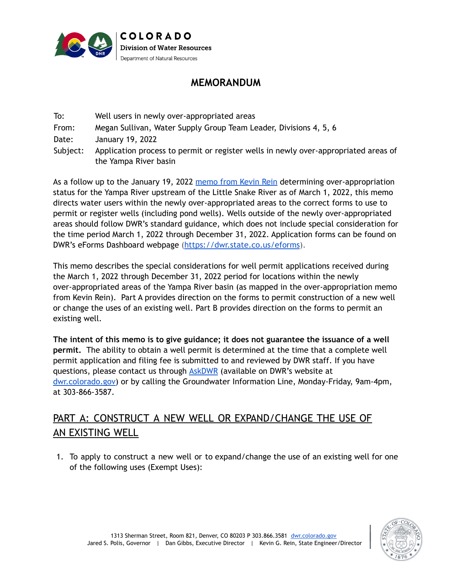

## **MEMORANDUM**

To: Well users in newly over-appropriated areas From: Megan Sullivan, Water Supply Group Team Leader, Divisions 4, 5, 6 Date: January 19, 2022 Subject: Application process to permit or register wells in newly over-appropriated areas of the Yampa River basin

As a follow up to the January 19, 2022 [memo](https://dnrweblink.state.co.us/dwr/0/edoc/3863278/DWR_3863278.pdf?searchid=20139195-951f-4bbd-a0fb-35562c8ddfee) from Kevin Rein determining over-appropriation status for the Yampa River upstream of the Little Snake River as of March 1, 2022, this memo directs water users within the newly over-appropriated areas to the correct forms to use to permit or register wells (including pond wells). Wells outside of the newly over-appropriated areas should follow DWR's standard guidance, which does not include special consideration for the time period March 1, 2022 through December 31, 2022. Application forms can be found on DWR's eForms Dashboard webpage (<https://dwr.state.co.us/eforms>).

This memo describes the special considerations for well permit applications received during the March 1, 2022 through December 31, 2022 period for locations within the newly over-appropriated areas of the Yampa River basin (as mapped in the over-appropriation memo from Kevin Rein). Part A provides direction on the forms to permit construction of a new well or change the uses of an existing well. Part B provides direction on the forms to permit an existing well.

**The intent of this memo is to give guidance; it does not guarantee the issuance of a well permit.** The ability to obtain a well permit is determined at the time that a complete well permit application and filing fee is submitted to and reviewed by DWR staff. If you have questions, please contact us through [AskDWR](https://dwr.state.co.us/Portal/dwr/AskDWR) (available on DWR's website at [dwr.colorado.gov\)](https://dwr.colorado.gov/) or by calling the Groundwater Information Line, Monday-Friday, 9am-4pm, at 303-866-3587.

# PART A: CONSTRUCT A NEW WELL OR EXPAND/CHANGE THE USE OF AN EXISTING WELL

1. To apply to construct a new well or to expand/change the use of an existing well for one of the following uses (Exempt Uses):

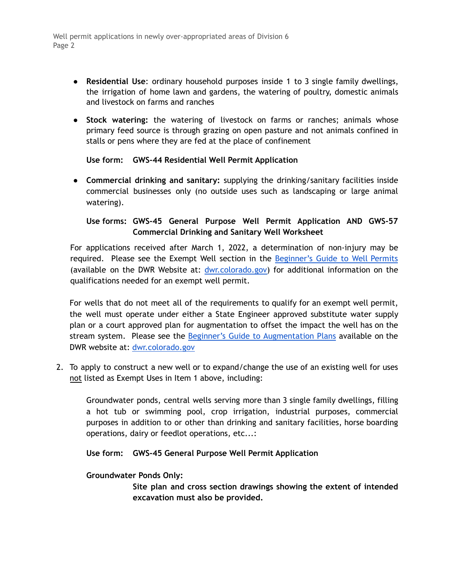Well permit applications in newly over-appropriated areas of Division 6 Page 2

- **Residential Use**: ordinary household purposes inside 1 to 3 single family dwellings, the irrigation of home lawn and gardens, the watering of poultry, domestic animals and livestock on farms and ranches
- **Stock watering:** the watering of livestock on farms or ranches; animals whose primary feed source is through grazing on open pasture and not animals confined in stalls or pens where they are fed at the place of confinement

**Use form: GWS-44 Residential Well Permit Application**

● **Commercial drinking and sanitary:** supplying the drinking/sanitary facilities inside commercial businesses only (no outside uses such as landscaping or large animal watering).

### **Use forms: GWS-45 General Purpose Well Permit Application AND GWS-57 Commercial Drinking and Sanitary Well Worksheet**

For applications received after March 1, 2022, a determination of non-injury may be required. Please see the Exempt Well section in the [Beginner's](https://drive.google.com/file/d/1axZVUaG9QGdBLebzM6F0YOut2MrL4pI5/view) Guide to Well Permits (available on the DWR Website at: [dwr.colorado.gov\)](https://dwr.colorado.gov/) for additional information on the qualifications needed for an exempt well permit.

For wells that do not meet all of the requirements to qualify for an exempt well permit, the well must operate under either a State Engineer approved substitute water supply plan or a court approved plan for augmentation to offset the impact the well has on the stream system. Please see the Beginner's Guide to [Augmentation](https://drive.google.com/file/d/1cZZegZFpgwwcEEK6NkZXmK-DjcZBcevT/view) Plans available on the DWR website at: [dwr.colorado.gov](http://dwr.colorado.gov)

2. To apply to construct a new well or to expand/change the use of an existing well for uses not listed as Exempt Uses in Item 1 above, including:

Groundwater ponds, central wells serving more than 3 single family dwellings, filling a hot tub or swimming pool, crop irrigation, industrial purposes, commercial purposes in addition to or other than drinking and sanitary facilities, horse boarding operations, dairy or feedlot operations, etc...:

### **Use form: GWS-45 General Purpose Well Permit Application**

### **Groundwater Ponds Only:**

**Site plan and cross section drawings showing the extent of intended excavation must also be provided.**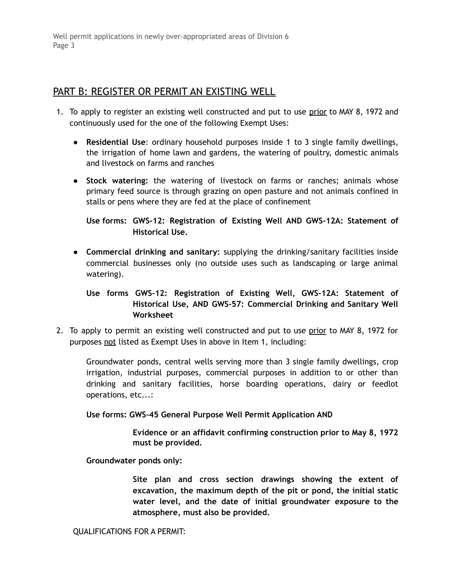Well permit applications in newly over-appropriated areas of Division 6 Page 3

### PART B: REGISTER OR PERMIT AN EXISTING WELL

- 1. To apply to register an existing well constructed and put to use prior to MAY 8, 1972 and continuously used for the one of the following Exempt Uses:
	- **Residential Use**: ordinary household purposes inside 1 to 3 single family dwellings, the irrigation of home lawn and gardens, the watering of poultry, domestic animals and livestock on farms and ranches
	- **Stock watering:** the watering of livestock on farms or ranches; animals whose primary feed source is through grazing on open pasture and not animals confined in stalls or pens where they are fed at the place of confinement

**Use forms: GWS-12: Registration of Existing Well AND GWS-12A: Statement of Historical Use.**

● **Commercial drinking and sanitary:** supplying the drinking/sanitary facilities inside commercial businesses only (no outside uses such as landscaping or large animal watering).

### **Use forms GWS-12: Registration of Existing Well, GWS-12A: Statement of Historical Use, AND GWS-57: Commercial Drinking and Sanitary Well Worksheet**

2. To apply to permit an existing well constructed and put to use prior to MAY 8, 1972 for purposes not listed as Exempt Uses in above in Item 1, including:

Groundwater ponds, central wells serving more than 3 single family dwellings, crop irrigation, industrial purposes, commercial purposes in addition to or other than drinking and sanitary facilities, horse boarding operations, dairy or feedlot operations, etc...:

#### **Use forms: GWS-45 General Purpose Well Permit Application AND**

**Evidence or an affidavit confirming construction prior to May 8, 1972 must be provided.**

**Groundwater ponds only:**

**Site plan and cross section drawings showing the extent of excavation, the maximum depth of the pit or pond, the initial static water level, and the date of initial groundwater exposure to the atmosphere, must also be provided.**

QUALIFICATIONS FOR A PERMIT: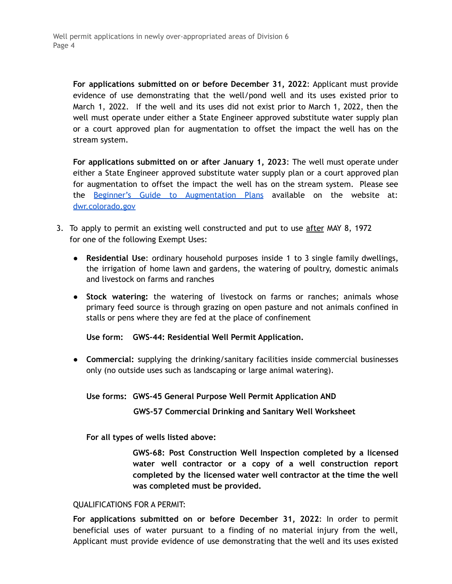**For applications submitted on or before December 31, 2022**: Applicant must provide evidence of use demonstrating that the well/pond well and its uses existed prior to March 1, 2022. If the well and its uses did not exist prior to March 1, 2022, then the well must operate under either a State Engineer approved substitute water supply plan or a court approved plan for augmentation to offset the impact the well has on the stream system.

**For applications submitted on or after January 1, 2023**: The well must operate under either a State Engineer approved substitute water supply plan or a court approved plan for augmentation to offset the impact the well has on the stream system. Please see the Beginner's Guide to [Augmentation](https://drive.google.com/file/d/1cZZegZFpgwwcEEK6NkZXmK-DjcZBcevT/view) Plans available on the website at: [dwr.colorado.gov](http://dwr.colorado.gov)

- 3. To apply to permit an existing well constructed and put to use after MAY 8, 1972 for one of the following Exempt Uses:
	- **Residential Use**: ordinary household purposes inside 1 to 3 single family dwellings, the irrigation of home lawn and gardens, the watering of poultry, domestic animals and livestock on farms and ranches
	- **Stock watering:** the watering of livestock on farms or ranches; animals whose primary feed source is through grazing on open pasture and not animals confined in stalls or pens where they are fed at the place of confinement

**Use form: GWS-44: Residential Well Permit Application.**

● **Commercial:** supplying the drinking/sanitary facilities inside commercial businesses only (no outside uses such as landscaping or large animal watering).

**Use forms: GWS-45 General Purpose Well Permit Application AND**

**GWS-57 Commercial Drinking and Sanitary Well Worksheet**

**For all types of wells listed above:**

**GWS-68: Post Construction Well Inspection completed by a licensed water well contractor or a copy of a well construction report completed by the licensed water well contractor at the time the well was completed must be provided.**

#### QUALIFICATIONS FOR A PERMIT:

**For applications submitted on or before December 31, 2022**: In order to permit beneficial uses of water pursuant to a finding of no material injury from the well, Applicant must provide evidence of use demonstrating that the well and its uses existed